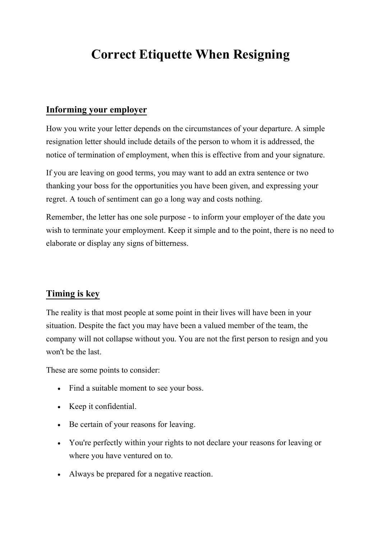## **Correct Etiquette When Resigning**

## **Informing your employer**

How you write your letter depends on the circumstances of your departure. A simple resignation letter should include details of the person to whom it is addressed, the notice of termination of employment, when this is effective from and your signature.

If you are leaving on good terms, you may want to add an extra sentence or two thanking your boss for the opportunities you have been given, and expressing your regret. A touch of sentiment can go a long way and costs nothing.

Remember, the letter has one sole purpose - to inform your employer of the date you wish to terminate your employment. Keep it simple and to the point, there is no need to elaborate or display any signs of bitterness.

## **Timing is key**

The reality is that most people at some point in their lives will have been in your situation. Despite the fact you may have been a valued member of the team, the company will not collapse without you. You are not the first person to resign and you won't be the last.

These are some points to consider:

- Find a suitable moment to see your boss.
- Keep it confidential.
- Be certain of your reasons for leaving.
- You're perfectly within your rights to not declare your reasons for leaving or where you have ventured on to.
- Always be prepared for a negative reaction.